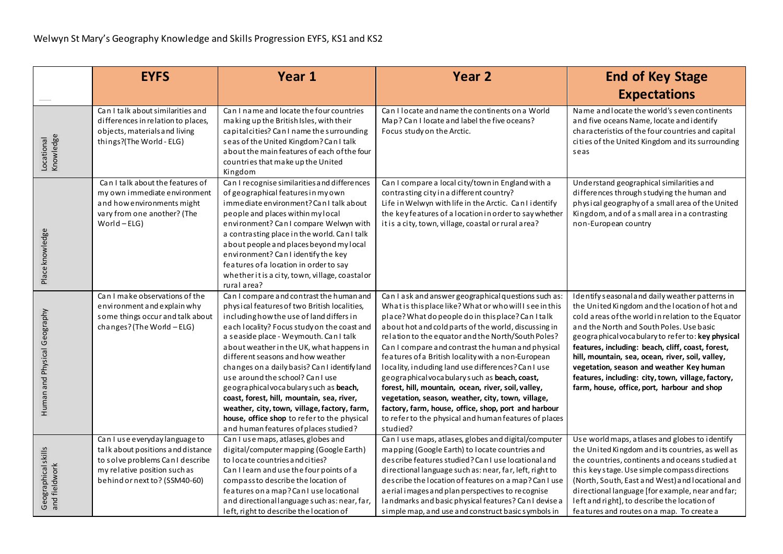|                                      | <b>EYFS</b>                                                                                                                                                              | Year 1                                                                                                                                                                                                                                                                                                                                                                                                                                                                                                                                                                                                                              | <b>Year 2</b>                                                                                                                                                                                                                                                                                                                                                                                                                                                                                                                                                                                                                                                                                                                                  | <b>End of Key Stage</b>                                                                                                                                                                                                                                                                                                                                                                                                                                                                                            |
|--------------------------------------|--------------------------------------------------------------------------------------------------------------------------------------------------------------------------|-------------------------------------------------------------------------------------------------------------------------------------------------------------------------------------------------------------------------------------------------------------------------------------------------------------------------------------------------------------------------------------------------------------------------------------------------------------------------------------------------------------------------------------------------------------------------------------------------------------------------------------|------------------------------------------------------------------------------------------------------------------------------------------------------------------------------------------------------------------------------------------------------------------------------------------------------------------------------------------------------------------------------------------------------------------------------------------------------------------------------------------------------------------------------------------------------------------------------------------------------------------------------------------------------------------------------------------------------------------------------------------------|--------------------------------------------------------------------------------------------------------------------------------------------------------------------------------------------------------------------------------------------------------------------------------------------------------------------------------------------------------------------------------------------------------------------------------------------------------------------------------------------------------------------|
|                                      |                                                                                                                                                                          |                                                                                                                                                                                                                                                                                                                                                                                                                                                                                                                                                                                                                                     |                                                                                                                                                                                                                                                                                                                                                                                                                                                                                                                                                                                                                                                                                                                                                | <b>Expectations</b>                                                                                                                                                                                                                                                                                                                                                                                                                                                                                                |
| Locational<br>Knowledge              | Can I talk about similarities and<br>differences in relation to places,<br>objects, materials and living<br>things?(The World - ELG)                                     | Can I name and locate the four countries<br>making up the British Isles, with their<br>capital cities? Can I name the surrounding<br>seas of the United Kingdom? Can I talk<br>about the main features of each of the four<br>countries that make up the United<br>Kingdom                                                                                                                                                                                                                                                                                                                                                          | Can I locate and name the continents on a World<br>Map? Can I locate and label the five oceans?<br>Focus study on the Arctic.                                                                                                                                                                                                                                                                                                                                                                                                                                                                                                                                                                                                                  | Name and locate the world's seven continents<br>and five oceans Name, locate and identify<br>characteristics of the four countries and capital<br>cities of the United Kingdom and its surrounding<br>seas                                                                                                                                                                                                                                                                                                         |
| Place knowledge                      | Can I talk about the features of<br>my own immediate environment<br>and how environments might<br>vary from one another? (The<br>$World - ELG)$                          | Can I recognise similarities and differences<br>of geographical features in my own<br>immediate environment? Can I talk about<br>people and places within my local<br>environment? Can I compare Welwyn with<br>a contrasting place in the world. Can I talk<br>a bout people and places beyond my local<br>environment? Can I identify the key<br>features of a location in order to say<br>whether it is a city, town, village, coastal or<br>rural area?                                                                                                                                                                         | Can I compare a local city/town in England with a<br>contrasting city in a different country?<br>Life in Welwyn with life in the Arctic. Can I identify<br>the key features of a location in order to say whether<br>it is a city, town, village, coastal or rural area?                                                                                                                                                                                                                                                                                                                                                                                                                                                                       | Understand geographical similarities and<br>differences through studying the human and<br>physical geography of a small area of the United<br>Kingdom, and of a small area in a contrasting<br>non-European country                                                                                                                                                                                                                                                                                                |
| Human and Physical Geography         | Can I make observations of the<br>environment and explain why<br>some things occur and talk about<br>changes? (The World - ELG)                                          | Can I compare and contrast the human and<br>physical features of two British localities,<br>including how the use of land differs in<br>each locality? Focus study on the coast and<br>a seaside place - Weymouth. Can I talk<br>about weather in the UK, what happens in<br>different seasons and how weather<br>changes on a daily basis? Can I identify land<br>use around the school? Can I use<br>geographical vocabulary such as beach,<br>coast, forest, hill, mountain, sea, river,<br>weather, city, town, village, factory, farm,<br>house, office shop to refer to the physical<br>and human features of places studied? | Can I ask and answer geographical questions such as:<br>What is this place like? What or who will I see in this<br>place? What do people do in this place? Can I talk<br>about hot and cold parts of the world, discussing in<br>relation to the equator and the North/South Poles?<br>Can I compare and contrast the human and physical<br>features of a British locality with a non-European<br>locality, induding land use differences? Can I use<br>geographical vocabulary such as beach, coast,<br>forest, hill, mountain, ocean, river, soil, valley,<br>vegetation, season, weather, city, town, village,<br>factory, farm, house, office, shop, port and harbour<br>to refer to the physical and human features of places<br>studied? | Identify seasonal and daily weather patterns in<br>the United Kingdom and the location of hot and<br>cold areas of the world in relation to the Equator<br>and the North and South Poles. Use basic<br>geographical vocabulary to refer to: key physical<br>features, including: beach, cliff, coast, forest,<br>hill, mountain, sea, ocean, river, soil, valley,<br>vegetation, season and weather Key human<br>features, including: city, town, village, factory,<br>farm, house, office, port, harbour and shop |
| Geographical skills<br>and fieldwork | Can I use everyday language to<br>talk about positions and distance<br>to solve problems Can I describe<br>my relative position such as<br>behind or next to? (SSM40-60) | Can I use maps, atlases, globes and<br>digital/computer mapping (Google Earth)<br>to locate countries and cities?<br>Can I learn and use the four points of a<br>compass to describe the location of<br>features on a map? Can I use locational<br>and directional language such as: near, far,<br>left, right to describe the location of                                                                                                                                                                                                                                                                                          | Can I use maps, atlases, globes and digital/computer<br>mapping (Google Earth) to locate countries and<br>describe features studied? Can Luse locational and<br>directional language such as: near, far, left, right to<br>describe the location of features on a map? Can I use<br>a e rial i mages a nd plan perspectives to recognise<br>landmarks and basic physical features? Can I devise a<br>simple map, and use and construct basic symbols in                                                                                                                                                                                                                                                                                        | Use world maps, a tlases and globes to identify<br>the United Kingdom and its countries, as well as<br>the countries, continents and oceans studied at<br>this key stage. Use simple compass directions<br>(North, South, East and West) and locational and<br>directional language [for example, near and far;<br>left and right], to describe the location of<br>features and routes on a map. To create a                                                                                                       |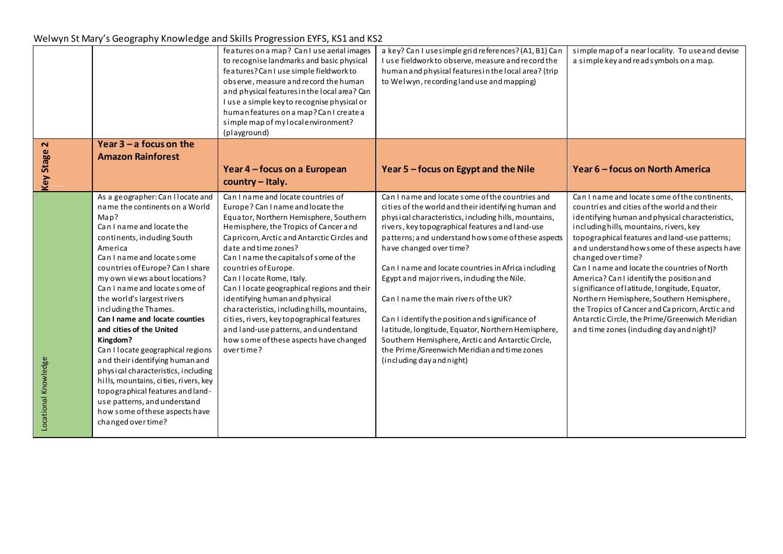## Welwyn St Mary's Geography Knowledge and Skills Progression EYFS, KS1 and KS2

|                      |                                                                                                                                                                                                                                                                                                                                                                                                                                                                                                                                                                                                                                                                                                            | features on a map? Can I use aerial images<br>to recognise landmarks and basic physical<br>features? Can I use simple field work to<br>observe, measure and record the human<br>and physical features in the local area? Can<br>I use a simple key to recognise physical or<br>human features on a map? Can I create a<br>simple map of my local environment?<br>(playground)                                                                                                                                                                                                                                    | a key? Can I uses imple grid references? (A1, B1) Can<br>I use fieldwork to observe, measure and record the<br>human and physical features in the local area? (trip<br>to Welwyn, recording land use and mapping)                                                                                                                                                                                                                                                                                                                                                                                                                                                                            | simple map of a near locality. To use and devise<br>a simple key and read symbols on a map.                                                                                                                                                                                                                                                                                                                                                                                                                                                                                                                                                                   |
|----------------------|------------------------------------------------------------------------------------------------------------------------------------------------------------------------------------------------------------------------------------------------------------------------------------------------------------------------------------------------------------------------------------------------------------------------------------------------------------------------------------------------------------------------------------------------------------------------------------------------------------------------------------------------------------------------------------------------------------|------------------------------------------------------------------------------------------------------------------------------------------------------------------------------------------------------------------------------------------------------------------------------------------------------------------------------------------------------------------------------------------------------------------------------------------------------------------------------------------------------------------------------------------------------------------------------------------------------------------|----------------------------------------------------------------------------------------------------------------------------------------------------------------------------------------------------------------------------------------------------------------------------------------------------------------------------------------------------------------------------------------------------------------------------------------------------------------------------------------------------------------------------------------------------------------------------------------------------------------------------------------------------------------------------------------------|---------------------------------------------------------------------------------------------------------------------------------------------------------------------------------------------------------------------------------------------------------------------------------------------------------------------------------------------------------------------------------------------------------------------------------------------------------------------------------------------------------------------------------------------------------------------------------------------------------------------------------------------------------------|
| $\mathbf{\Omega}$    | Year $3 - a$ focus on the<br><b>Amazon Rainforest</b>                                                                                                                                                                                                                                                                                                                                                                                                                                                                                                                                                                                                                                                      |                                                                                                                                                                                                                                                                                                                                                                                                                                                                                                                                                                                                                  |                                                                                                                                                                                                                                                                                                                                                                                                                                                                                                                                                                                                                                                                                              |                                                                                                                                                                                                                                                                                                                                                                                                                                                                                                                                                                                                                                                               |
| <b>Key Stage</b>     |                                                                                                                                                                                                                                                                                                                                                                                                                                                                                                                                                                                                                                                                                                            | Year 4 – focus on a European<br>country - Italy.                                                                                                                                                                                                                                                                                                                                                                                                                                                                                                                                                                 | Year 5 – focus on Egypt and the Nile                                                                                                                                                                                                                                                                                                                                                                                                                                                                                                                                                                                                                                                         | Year 6 - focus on North America                                                                                                                                                                                                                                                                                                                                                                                                                                                                                                                                                                                                                               |
| Locational Knowledge | As a geographer: Can I locate and<br>name the continents on a World<br>Map?<br>Can I name and locate the<br>continents, induding South<br>America<br>Can I name and locate some<br>countries of Europe? Can I share<br>my own views about locations?<br>Can I name and locate some of<br>the world's largest rivers<br>including the Thames.<br>Can I name and locate counties<br>and cities of the United<br>Kingdom?<br>Can I locate geographical regions<br>and their identifying human and<br>physical characteristics, including<br>hills, mountains, cities, rivers, key<br>topographical features and land-<br>use patterns, and understand<br>how some of these aspects have<br>changed over time? | Can I name and locate countries of<br>Europe? Can I name and locate the<br>Equator, Northern Hemisphere, Southern<br>Hemisphere, the Tropics of Cancer and<br>Capricorn, Arctic and Antarctic Circles and<br>date and time zones?<br>Can I name the capitals of some of the<br>countries of Europe.<br>Can I locate Rome, Italy.<br>Can I locate geographical regions and their<br>identifying human and physical<br>characteristics, including hills, mountains,<br>cities, rivers, key to pographical features<br>and land-use patterns, and understand<br>how some of these aspects have changed<br>overtime? | Can I name and locate some of the countries and<br>cities of the world and their identifying human and<br>physical characteristics, including hills, mountains,<br>rivers, key to pographical features and land-use<br>patterns; and understand how some of these aspects<br>have changed over time?<br>Can I name and locate countries in Africa including<br>Egypt and major rivers, induding the Nile.<br>Can I name the main rivers of the UK?<br>Can I identify the position and significance of<br>latitude, longitude, Equator, Northern Hemisphere,<br>Southern Hemisphere, Arctic and Antarctic Circle,<br>the Prime/Greenwich Meridian and time zones<br>(including day and night) | Can I name and locate some of the continents.<br>countries and cities of the world and their<br>identifying human and physical characteristics,<br>including hills, mountains, rivers, key<br>topographical features and land-use patterns;<br>and understand how some of these aspects have<br>changed over time?<br>Can I name and locate the countries of North<br>America? Can I identify the position and<br>significance of latitude, longitude, Equator,<br>Northern Hemisphere, Southern Hemisphere,<br>the Tropics of Cancer and Capricorn, Arctic and<br>Antarctic Circle, the Prime/Greenwich Meridian<br>and time zones (induding day and night)? |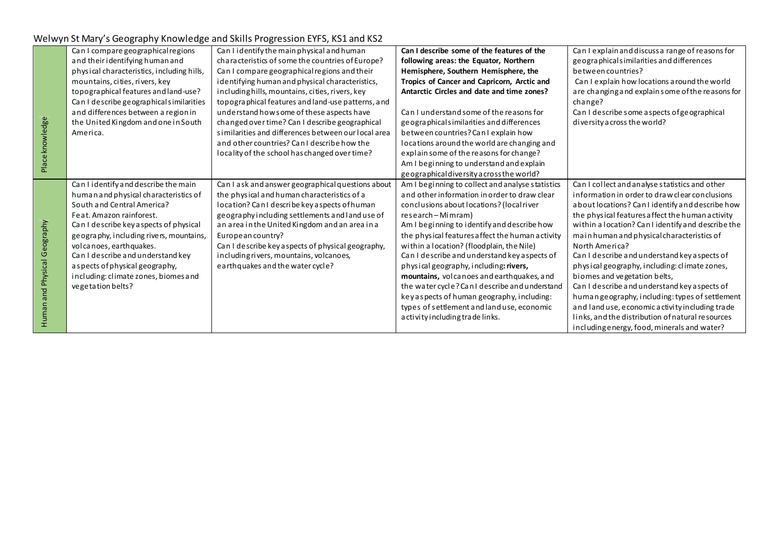## Welwyn St Mary's Geography Knowledge and Skills Progression EYFS, KS1 and KS2

|                              | Can I compare geographical regions         | Can I identify the main physical and human          | Can I describe some of the features of the        | Can I explain and discuss a range of reasons for   |
|------------------------------|--------------------------------------------|-----------------------------------------------------|---------------------------------------------------|----------------------------------------------------|
|                              | and their identifying human and            | characteristics of some the countries of Europe?    | following areas: the Equator, Northern            | geographicalsimilarities and differences           |
|                              | physical characteristics, including hills, | Can I compare geographical regions and their        | Hemisphere, Southern Hemisphere, the              | between countries?                                 |
|                              | mountains, cities, rivers, key             | identifying human and physical characteristics,     | Tropics of Cancer and Capricorn, Arctic and       | Can I explain how locations a round the world      |
|                              | topographical features and land-use?       | including hills, mountains, cities, rivers, key     | Antarctic Circles and date and time zones?        | are changing and explain some of the reasons for   |
|                              | Can I describe geographical similarities   | topographical features and land-use patterns, and   |                                                   | change?                                            |
|                              | and differences between a region in        | understand how some of these aspects have           | Can I understand some of the reasons for          | Can I describe some aspects of geographical        |
|                              | the United Kingdom and one in South        | changed over time? Can I describe geographical      | geographicalsimilarities and differences          | diversity across the world?                        |
|                              | America.                                   | similarities and differences between our local area | between countries? Can I explain how              |                                                    |
| Place knowledge              |                                            | and other countries? Can I describe how the         | locations around the world are changing and       |                                                    |
|                              |                                            | locality of the school has changed over time?       | explain some of the reasons for change?           |                                                    |
|                              |                                            |                                                     | Am I beginning to understand and explain          |                                                    |
|                              |                                            |                                                     | geographical diversity a cross the world?         |                                                    |
|                              | Can I identify and describe the main       | Can I ask and answer geographical questions about   | Am I beginning to collect and analyse statistics  | Can I collect and analyse statistics and other     |
|                              | human and physical characteristics of      | the physical and human characteristics of a         | and other information in order to draw clear      | information in order to draw clear conclusions     |
|                              | South and Central America?                 | location? Can I describe key a spects of human      | conclusions about locations? (local river         | about locations? Can I identify and describe how   |
|                              | Feat, Amazon rainforest.                   | geography including settlements and land use of     | research - Mimram)                                | the physical features affect the human activity    |
|                              | Can I describe key aspects of physical     | an area in the United Kingdom and an area in a      | Am I beginning to identify and describe how       | within a location? Can I identify and describe the |
|                              | geography, including rivers, mountains,    | European country?                                   | the physical features a ffect the human a ctivity | main human and physical characteristics of         |
|                              | volcanoes, earthquakes.                    | Can I describe key aspects of physical geography,   | within a location? (floodplain, the Nile)         | North America?                                     |
|                              | Can I describe and understand key          | including rivers, mountains, volcanoes,             | Can I describe and understand key a spects of     | Can I describe and understand key a spects of      |
|                              | as pects of physical geography,            | earthquakes and the water cycle?                    | physical geography, including: rivers,            | physical geography, including: climate zones,      |
|                              | including: climate zones, biomes and       |                                                     | mountains, volcanoes and earthquakes, and         | biomes and vegetation belts,                       |
| Human and Physical Geography | vegetation belts?                          |                                                     | the water cycle? Can I describe and understand    | Can I describe and understand key aspects of       |
|                              |                                            |                                                     | key as pects of human geography, including:       | human geography, including: types of settlement    |
|                              |                                            |                                                     | types of settlement and land use, economic        | and land use, economic activity including trade    |
|                              |                                            |                                                     | a ctivity including trade links.                  | links, and the distribution of natural resources   |
|                              |                                            |                                                     |                                                   | including energy, food, minerals and water?        |